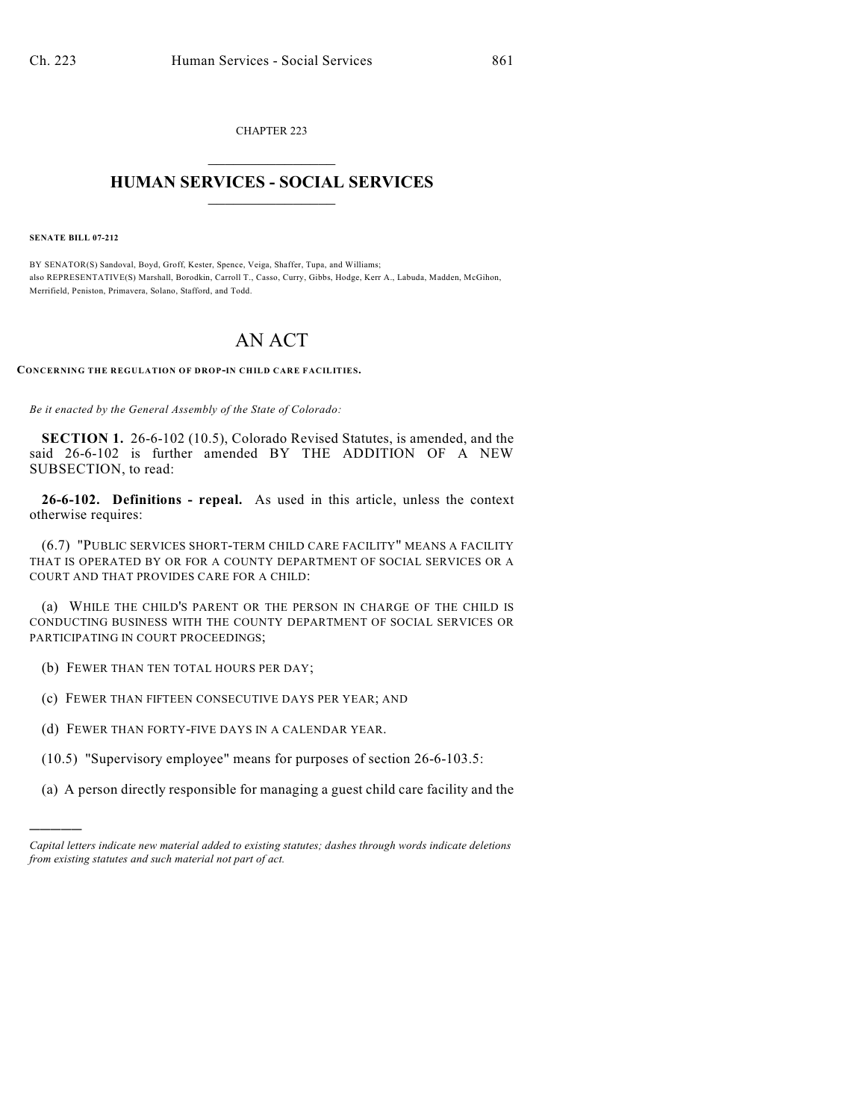CHAPTER 223  $\mathcal{L}_\text{max}$  . The set of the set of the set of the set of the set of the set of the set of the set of the set of the set of the set of the set of the set of the set of the set of the set of the set of the set of the set

## **HUMAN SERVICES - SOCIAL SERVICES**  $\frac{1}{2}$  ,  $\frac{1}{2}$  ,  $\frac{1}{2}$  ,  $\frac{1}{2}$  ,  $\frac{1}{2}$  ,  $\frac{1}{2}$  ,  $\frac{1}{2}$

**SENATE BILL 07-212**

)))))

BY SENATOR(S) Sandoval, Boyd, Groff, Kester, Spence, Veiga, Shaffer, Tupa, and Williams; also REPRESENTATIVE(S) Marshall, Borodkin, Carroll T., Casso, Curry, Gibbs, Hodge, Kerr A., Labuda, Madden, McGihon, Merrifield, Peniston, Primavera, Solano, Stafford, and Todd.

## AN ACT

**CONCERNING THE REGULATION OF DROP-IN CHILD CARE FACILITIES.**

*Be it enacted by the General Assembly of the State of Colorado:*

**SECTION 1.** 26-6-102 (10.5), Colorado Revised Statutes, is amended, and the said 26-6-102 is further amended BY THE ADDITION OF A NEW SUBSECTION, to read:

**26-6-102. Definitions - repeal.** As used in this article, unless the context otherwise requires:

(6.7) "PUBLIC SERVICES SHORT-TERM CHILD CARE FACILITY" MEANS A FACILITY THAT IS OPERATED BY OR FOR A COUNTY DEPARTMENT OF SOCIAL SERVICES OR A COURT AND THAT PROVIDES CARE FOR A CHILD:

(a) WHILE THE CHILD'S PARENT OR THE PERSON IN CHARGE OF THE CHILD IS CONDUCTING BUSINESS WITH THE COUNTY DEPARTMENT OF SOCIAL SERVICES OR PARTICIPATING IN COURT PROCEEDINGS;

- (b) FEWER THAN TEN TOTAL HOURS PER DAY;
- (c) FEWER THAN FIFTEEN CONSECUTIVE DAYS PER YEAR; AND

(d) FEWER THAN FORTY-FIVE DAYS IN A CALENDAR YEAR.

- (10.5) "Supervisory employee" means for purposes of section 26-6-103.5:
- (a) A person directly responsible for managing a guest child care facility and the

*Capital letters indicate new material added to existing statutes; dashes through words indicate deletions from existing statutes and such material not part of act.*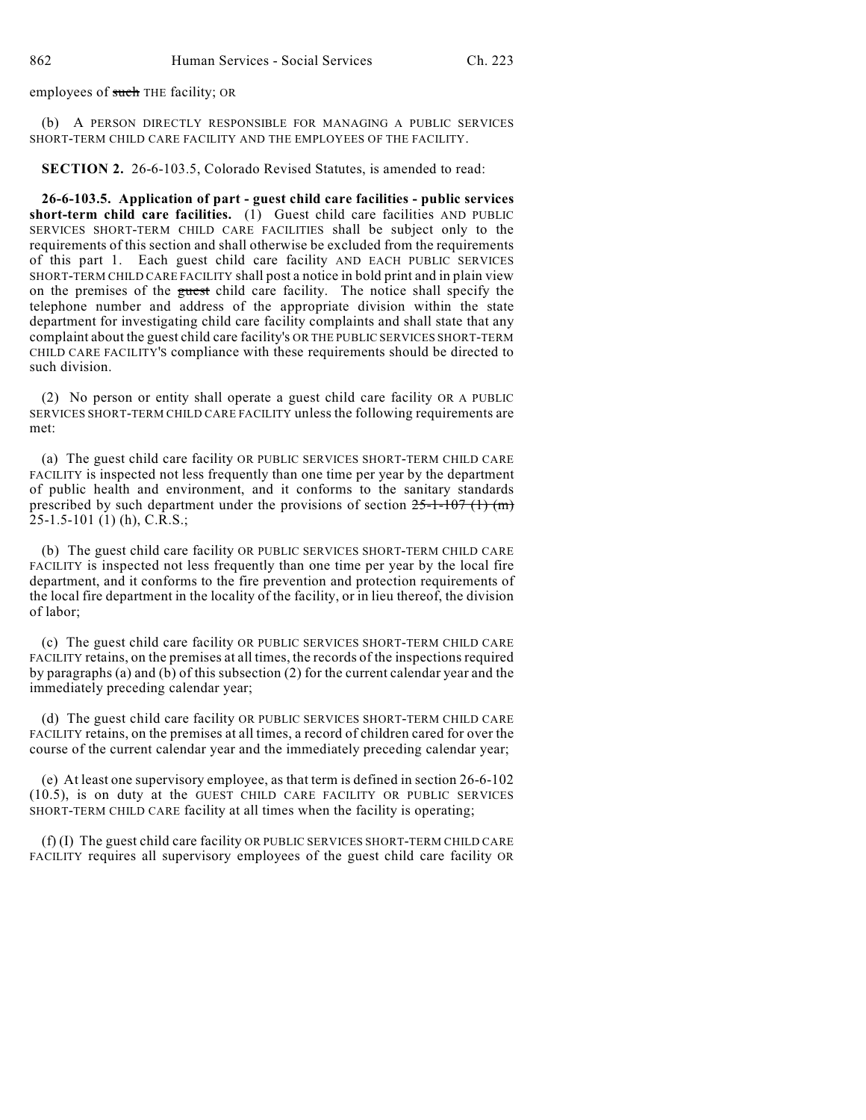employees of such THE facility; OR

(b) A PERSON DIRECTLY RESPONSIBLE FOR MANAGING A PUBLIC SERVICES SHORT-TERM CHILD CARE FACILITY AND THE EMPLOYEES OF THE FACILITY.

**SECTION 2.** 26-6-103.5, Colorado Revised Statutes, is amended to read:

**26-6-103.5. Application of part - guest child care facilities - public services short-term child care facilities.** (1) Guest child care facilities AND PUBLIC SERVICES SHORT-TERM CHILD CARE FACILITIES shall be subject only to the requirements of this section and shall otherwise be excluded from the requirements of this part 1. Each guest child care facility AND EACH PUBLIC SERVICES SHORT-TERM CHILD CARE FACILITY shall post a notice in bold print and in plain view on the premises of the guest child care facility. The notice shall specify the telephone number and address of the appropriate division within the state department for investigating child care facility complaints and shall state that any complaint about the guest child care facility's OR THE PUBLIC SERVICES SHORT-TERM CHILD CARE FACILITY'S compliance with these requirements should be directed to such division.

(2) No person or entity shall operate a guest child care facility OR A PUBLIC SERVICES SHORT-TERM CHILD CARE FACILITY unless the following requirements are met:

(a) The guest child care facility OR PUBLIC SERVICES SHORT-TERM CHILD CARE FACILITY is inspected not less frequently than one time per year by the department of public health and environment, and it conforms to the sanitary standards prescribed by such department under the provisions of section  $25-1-107$  (1) (m) 25-1.5-101 (1) (h), C.R.S.;

(b) The guest child care facility OR PUBLIC SERVICES SHORT-TERM CHILD CARE FACILITY is inspected not less frequently than one time per year by the local fire department, and it conforms to the fire prevention and protection requirements of the local fire department in the locality of the facility, or in lieu thereof, the division of labor;

(c) The guest child care facility OR PUBLIC SERVICES SHORT-TERM CHILD CARE FACILITY retains, on the premises at all times, the records of the inspections required by paragraphs (a) and (b) of this subsection (2) for the current calendar year and the immediately preceding calendar year;

(d) The guest child care facility OR PUBLIC SERVICES SHORT-TERM CHILD CARE FACILITY retains, on the premises at all times, a record of children cared for over the course of the current calendar year and the immediately preceding calendar year;

(e) At least one supervisory employee, as that term is defined in section 26-6-102 (10.5), is on duty at the GUEST CHILD CARE FACILITY OR PUBLIC SERVICES SHORT-TERM CHILD CARE facility at all times when the facility is operating;

(f) (I) The guest child care facility OR PUBLIC SERVICES SHORT-TERM CHILD CARE FACILITY requires all supervisory employees of the guest child care facility OR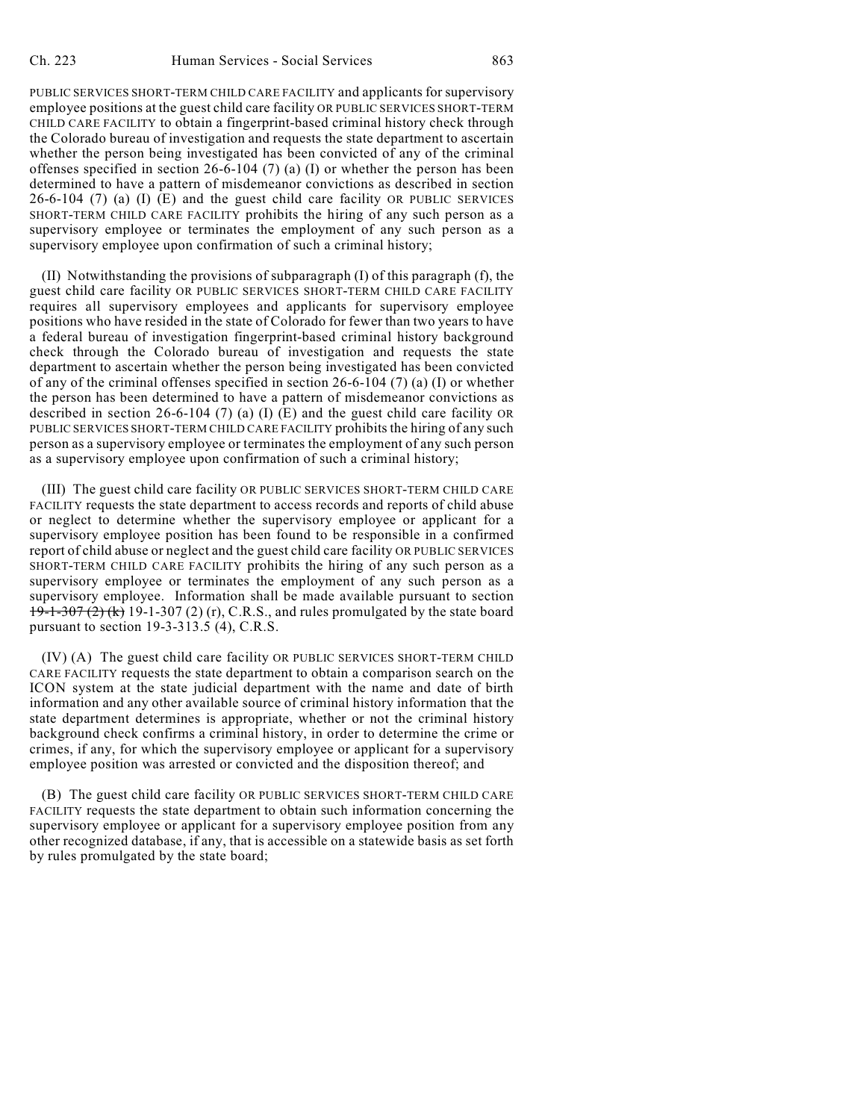PUBLIC SERVICES SHORT-TERM CHILD CARE FACILITY and applicants for supervisory employee positions at the guest child care facility OR PUBLIC SERVICES SHORT-TERM CHILD CARE FACILITY to obtain a fingerprint-based criminal history check through the Colorado bureau of investigation and requests the state department to ascertain whether the person being investigated has been convicted of any of the criminal offenses specified in section 26-6-104 (7) (a) (I) or whether the person has been determined to have a pattern of misdemeanor convictions as described in section 26-6-104 (7) (a) (I) (E) and the guest child care facility OR PUBLIC SERVICES SHORT-TERM CHILD CARE FACILITY prohibits the hiring of any such person as a supervisory employee or terminates the employment of any such person as a supervisory employee upon confirmation of such a criminal history;

(II) Notwithstanding the provisions of subparagraph (I) of this paragraph (f), the guest child care facility OR PUBLIC SERVICES SHORT-TERM CHILD CARE FACILITY requires all supervisory employees and applicants for supervisory employee positions who have resided in the state of Colorado for fewer than two years to have a federal bureau of investigation fingerprint-based criminal history background check through the Colorado bureau of investigation and requests the state department to ascertain whether the person being investigated has been convicted of any of the criminal offenses specified in section 26-6-104 (7) (a) (I) or whether the person has been determined to have a pattern of misdemeanor convictions as described in section 26-6-104 (7) (a) (I) (E) and the guest child care facility OR PUBLIC SERVICES SHORT-TERM CHILD CARE FACILITY prohibits the hiring of any such person as a supervisory employee or terminates the employment of any such person as a supervisory employee upon confirmation of such a criminal history;

(III) The guest child care facility OR PUBLIC SERVICES SHORT-TERM CHILD CARE FACILITY requests the state department to access records and reports of child abuse or neglect to determine whether the supervisory employee or applicant for a supervisory employee position has been found to be responsible in a confirmed report of child abuse or neglect and the guest child care facility OR PUBLIC SERVICES SHORT-TERM CHILD CARE FACILITY prohibits the hiring of any such person as a supervisory employee or terminates the employment of any such person as a supervisory employee. Information shall be made available pursuant to section 19-1-307 (2) (k) 19-1-307 (2) (r), C.R.S., and rules promulgated by the state board pursuant to section 19-3-313.5 (4), C.R.S.

(IV) (A) The guest child care facility OR PUBLIC SERVICES SHORT-TERM CHILD CARE FACILITY requests the state department to obtain a comparison search on the ICON system at the state judicial department with the name and date of birth information and any other available source of criminal history information that the state department determines is appropriate, whether or not the criminal history background check confirms a criminal history, in order to determine the crime or crimes, if any, for which the supervisory employee or applicant for a supervisory employee position was arrested or convicted and the disposition thereof; and

(B) The guest child care facility OR PUBLIC SERVICES SHORT-TERM CHILD CARE FACILITY requests the state department to obtain such information concerning the supervisory employee or applicant for a supervisory employee position from any other recognized database, if any, that is accessible on a statewide basis as set forth by rules promulgated by the state board;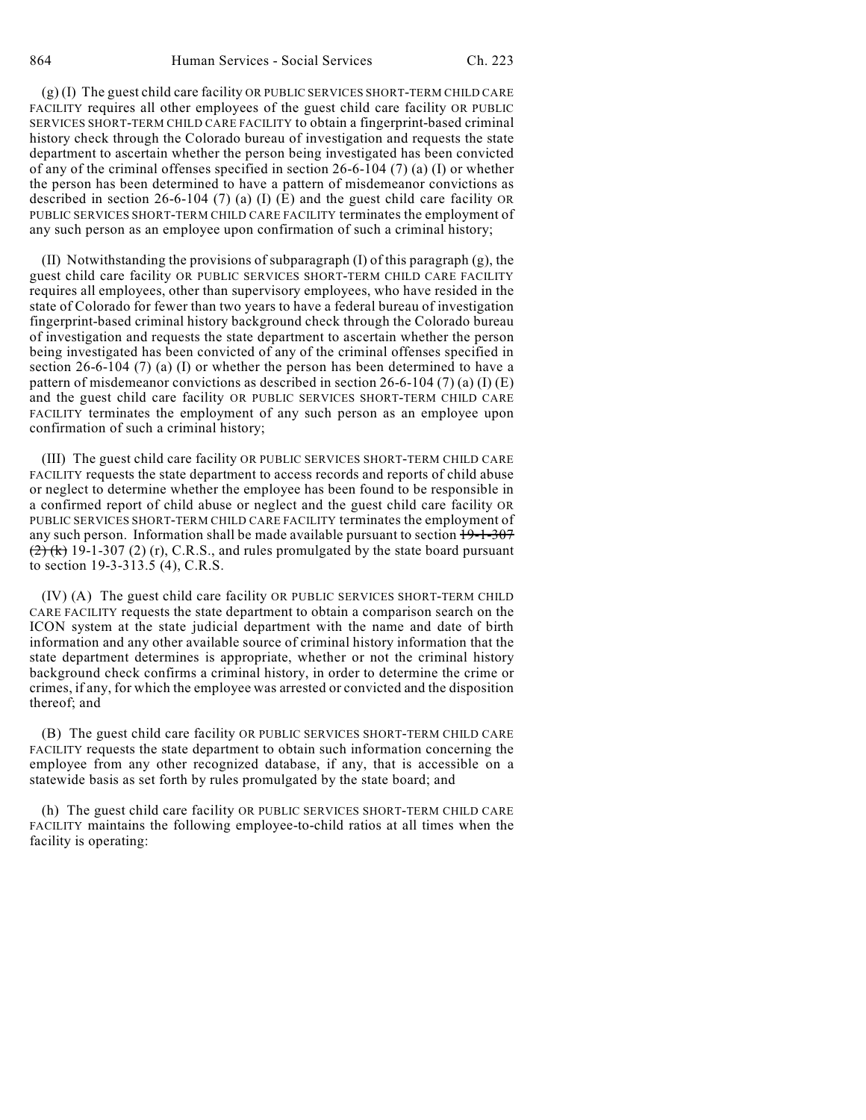(g) (I) The guest child care facility OR PUBLIC SERVICES SHORT-TERM CHILD CARE FACILITY requires all other employees of the guest child care facility OR PUBLIC SERVICES SHORT-TERM CHILD CARE FACILITY to obtain a fingerprint-based criminal history check through the Colorado bureau of investigation and requests the state department to ascertain whether the person being investigated has been convicted of any of the criminal offenses specified in section 26-6-104 (7) (a) (I) or whether the person has been determined to have a pattern of misdemeanor convictions as described in section 26-6-104 (7) (a) (I) (E) and the guest child care facility OR PUBLIC SERVICES SHORT-TERM CHILD CARE FACILITY terminates the employment of any such person as an employee upon confirmation of such a criminal history;

(II) Notwithstanding the provisions of subparagraph (I) of this paragraph (g), the guest child care facility OR PUBLIC SERVICES SHORT-TERM CHILD CARE FACILITY requires all employees, other than supervisory employees, who have resided in the state of Colorado for fewer than two years to have a federal bureau of investigation fingerprint-based criminal history background check through the Colorado bureau of investigation and requests the state department to ascertain whether the person being investigated has been convicted of any of the criminal offenses specified in section 26-6-104 (7) (a) (I) or whether the person has been determined to have a pattern of misdemeanor convictions as described in section 26-6-104 (7) (a) (I) (E) and the guest child care facility OR PUBLIC SERVICES SHORT-TERM CHILD CARE FACILITY terminates the employment of any such person as an employee upon confirmation of such a criminal history;

(III) The guest child care facility OR PUBLIC SERVICES SHORT-TERM CHILD CARE FACILITY requests the state department to access records and reports of child abuse or neglect to determine whether the employee has been found to be responsible in a confirmed report of child abuse or neglect and the guest child care facility OR PUBLIC SERVICES SHORT-TERM CHILD CARE FACILITY terminates the employment of any such person. Information shall be made available pursuant to section  $19-1-307$  $(2)$  (k) 19-1-307 (2) (r), C.R.S., and rules promulgated by the state board pursuant to section 19-3-313.5 (4), C.R.S.

(IV) (A) The guest child care facility OR PUBLIC SERVICES SHORT-TERM CHILD CARE FACILITY requests the state department to obtain a comparison search on the ICON system at the state judicial department with the name and date of birth information and any other available source of criminal history information that the state department determines is appropriate, whether or not the criminal history background check confirms a criminal history, in order to determine the crime or crimes, if any, for which the employee was arrested or convicted and the disposition thereof; and

(B) The guest child care facility OR PUBLIC SERVICES SHORT-TERM CHILD CARE FACILITY requests the state department to obtain such information concerning the employee from any other recognized database, if any, that is accessible on a statewide basis as set forth by rules promulgated by the state board; and

(h) The guest child care facility OR PUBLIC SERVICES SHORT-TERM CHILD CARE FACILITY maintains the following employee-to-child ratios at all times when the facility is operating: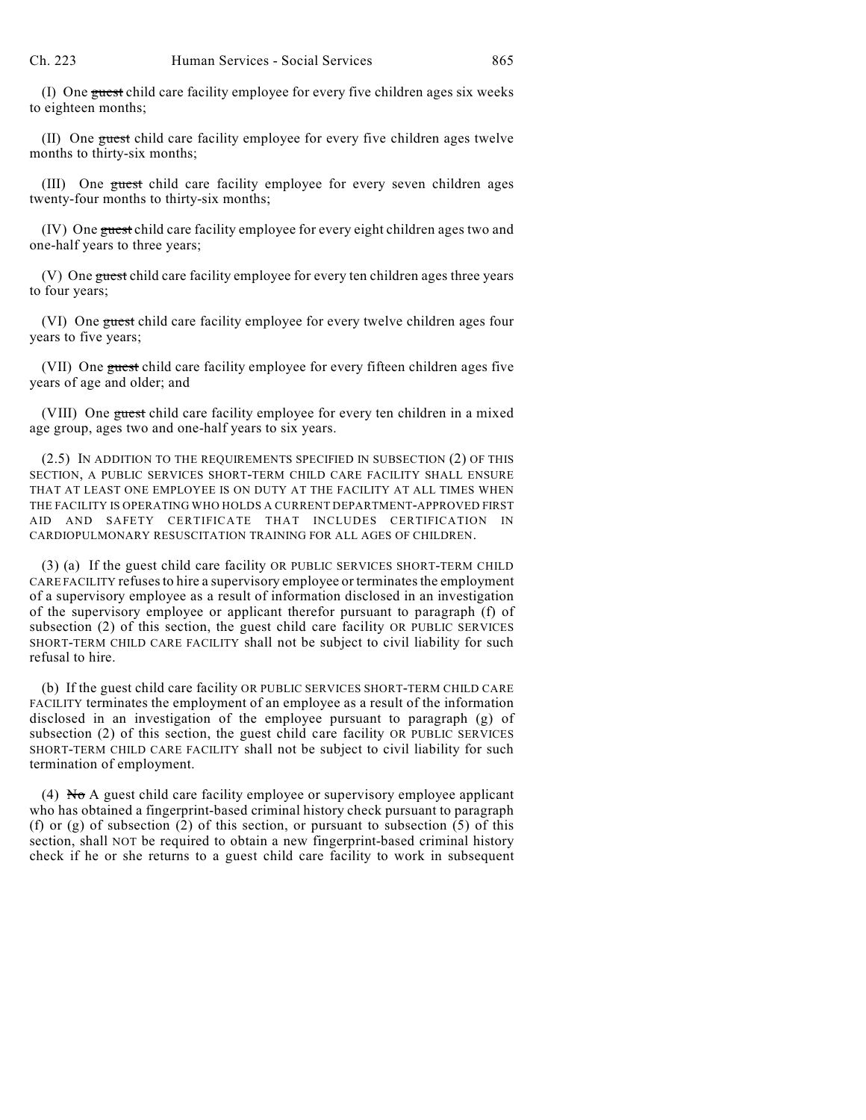(I) One guest child care facility employee for every five children ages six weeks to eighteen months;

(II) One guest child care facility employee for every five children ages twelve months to thirty-six months;

(III) One guest child care facility employee for every seven children ages twenty-four months to thirty-six months;

(IV) One guest child care facility employee for every eight children ages two and one-half years to three years;

(V) One guest child care facility employee for every ten children ages three years to four years;

(VI) One guest child care facility employee for every twelve children ages four years to five years;

(VII) One guest child care facility employee for every fifteen children ages five years of age and older; and

(VIII) One guest child care facility employee for every ten children in a mixed age group, ages two and one-half years to six years.

(2.5) IN ADDITION TO THE REQUIREMENTS SPECIFIED IN SUBSECTION (2) OF THIS SECTION, A PUBLIC SERVICES SHORT-TERM CHILD CARE FACILITY SHALL ENSURE THAT AT LEAST ONE EMPLOYEE IS ON DUTY AT THE FACILITY AT ALL TIMES WHEN THE FACILITY IS OPERATING WHO HOLDS A CURRENT DEPARTMENT-APPROVED FIRST AID AND SAFETY CERTIFICATE THAT INCLUDES CERTIFICATION IN CARDIOPULMONARY RESUSCITATION TRAINING FOR ALL AGES OF CHILDREN.

(3) (a) If the guest child care facility OR PUBLIC SERVICES SHORT-TERM CHILD CARE FACILITY refuses to hire a supervisory employee or terminates the employment of a supervisory employee as a result of information disclosed in an investigation of the supervisory employee or applicant therefor pursuant to paragraph (f) of subsection (2) of this section, the guest child care facility OR PUBLIC SERVICES SHORT-TERM CHILD CARE FACILITY shall not be subject to civil liability for such refusal to hire.

(b) If the guest child care facility OR PUBLIC SERVICES SHORT-TERM CHILD CARE FACILITY terminates the employment of an employee as a result of the information disclosed in an investigation of the employee pursuant to paragraph (g) of subsection (2) of this section, the guest child care facility OR PUBLIC SERVICES SHORT-TERM CHILD CARE FACILITY shall not be subject to civil liability for such termination of employment.

(4)  $\overline{N\sigma}$  A guest child care facility employee or supervisory employee applicant who has obtained a fingerprint-based criminal history check pursuant to paragraph (f) or (g) of subsection (2) of this section, or pursuant to subsection (5) of this section, shall NOT be required to obtain a new fingerprint-based criminal history check if he or she returns to a guest child care facility to work in subsequent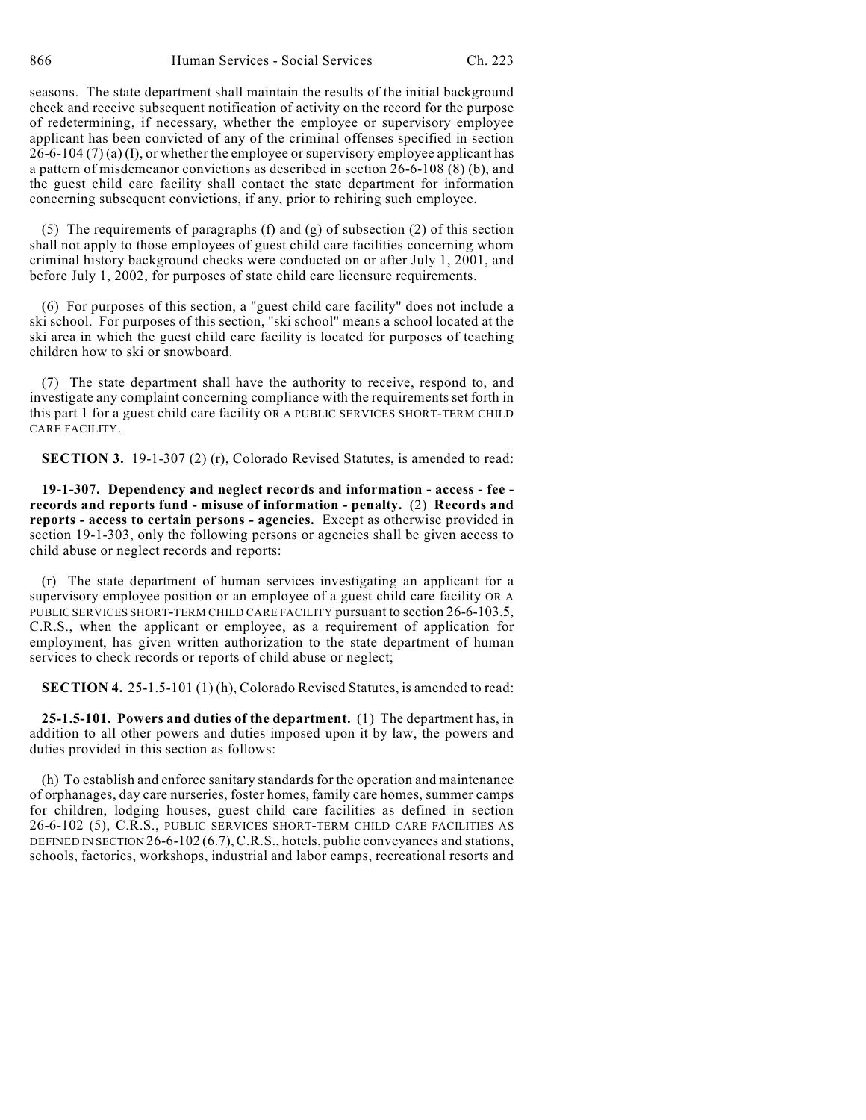seasons. The state department shall maintain the results of the initial background check and receive subsequent notification of activity on the record for the purpose of redetermining, if necessary, whether the employee or supervisory employee applicant has been convicted of any of the criminal offenses specified in section  $26-6-104(7)(a)$  (I), or whether the employee or supervisory employee applicant has a pattern of misdemeanor convictions as described in section 26-6-108 (8) (b), and the guest child care facility shall contact the state department for information concerning subsequent convictions, if any, prior to rehiring such employee.

(5) The requirements of paragraphs (f) and (g) of subsection (2) of this section shall not apply to those employees of guest child care facilities concerning whom criminal history background checks were conducted on or after July 1, 2001, and before July 1, 2002, for purposes of state child care licensure requirements.

(6) For purposes of this section, a "guest child care facility" does not include a ski school. For purposes of this section, "ski school" means a school located at the ski area in which the guest child care facility is located for purposes of teaching children how to ski or snowboard.

(7) The state department shall have the authority to receive, respond to, and investigate any complaint concerning compliance with the requirements set forth in this part 1 for a guest child care facility OR A PUBLIC SERVICES SHORT-TERM CHILD CARE FACILITY.

**SECTION 3.** 19-1-307 (2) (r), Colorado Revised Statutes, is amended to read:

**19-1-307. Dependency and neglect records and information - access - fee records and reports fund - misuse of information - penalty.** (2) **Records and reports - access to certain persons - agencies.** Except as otherwise provided in section 19-1-303, only the following persons or agencies shall be given access to child abuse or neglect records and reports:

(r) The state department of human services investigating an applicant for a supervisory employee position or an employee of a guest child care facility OR A PUBLIC SERVICES SHORT-TERM CHILD CARE FACILITY pursuant to section 26-6-103.5, C.R.S., when the applicant or employee, as a requirement of application for employment, has given written authorization to the state department of human services to check records or reports of child abuse or neglect;

**SECTION 4.** 25-1.5-101 (1) (h), Colorado Revised Statutes, is amended to read:

**25-1.5-101. Powers and duties of the department.** (1) The department has, in addition to all other powers and duties imposed upon it by law, the powers and duties provided in this section as follows:

(h) To establish and enforce sanitary standards for the operation and maintenance of orphanages, day care nurseries, foster homes, family care homes, summer camps for children, lodging houses, guest child care facilities as defined in section 26-6-102 (5), C.R.S., PUBLIC SERVICES SHORT-TERM CHILD CARE FACILITIES AS DEFINED IN SECTION 26-6-102 (6.7), C.R.S., hotels, public conveyances and stations, schools, factories, workshops, industrial and labor camps, recreational resorts and